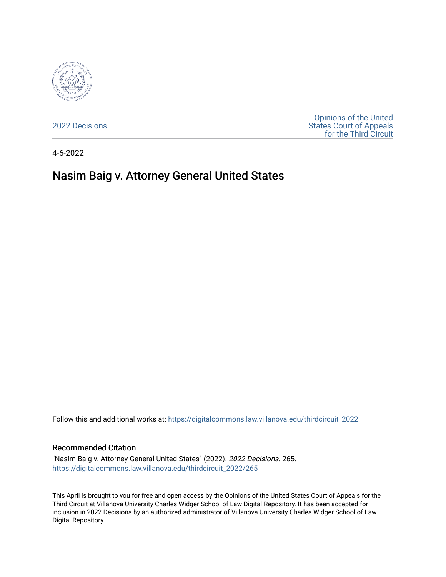

[2022 Decisions](https://digitalcommons.law.villanova.edu/thirdcircuit_2022)

[Opinions of the United](https://digitalcommons.law.villanova.edu/thirdcircuit)  [States Court of Appeals](https://digitalcommons.law.villanova.edu/thirdcircuit)  [for the Third Circuit](https://digitalcommons.law.villanova.edu/thirdcircuit) 

4-6-2022

# Nasim Baig v. Attorney General United States

Follow this and additional works at: [https://digitalcommons.law.villanova.edu/thirdcircuit\\_2022](https://digitalcommons.law.villanova.edu/thirdcircuit_2022?utm_source=digitalcommons.law.villanova.edu%2Fthirdcircuit_2022%2F265&utm_medium=PDF&utm_campaign=PDFCoverPages) 

#### Recommended Citation

"Nasim Baig v. Attorney General United States" (2022). 2022 Decisions. 265. [https://digitalcommons.law.villanova.edu/thirdcircuit\\_2022/265](https://digitalcommons.law.villanova.edu/thirdcircuit_2022/265?utm_source=digitalcommons.law.villanova.edu%2Fthirdcircuit_2022%2F265&utm_medium=PDF&utm_campaign=PDFCoverPages)

This April is brought to you for free and open access by the Opinions of the United States Court of Appeals for the Third Circuit at Villanova University Charles Widger School of Law Digital Repository. It has been accepted for inclusion in 2022 Decisions by an authorized administrator of Villanova University Charles Widger School of Law Digital Repository.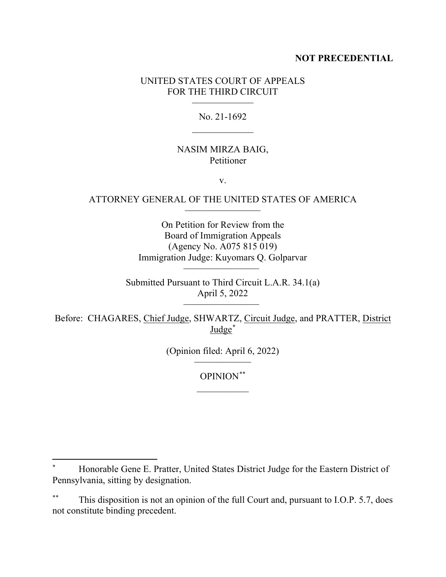## **NOT PRECEDENTIAL**

# UNITED STATES COURT OF APPEALS FOR THE THIRD CIRCUIT

No. 21-1692

## NASIM MIRZA BAIG, Petitioner

v.

## ATTORNEY GENERAL OF THE UNITED STATES OF AMERICA \_\_\_\_\_\_\_\_\_\_\_\_\_\_\_\_

On Petition for Review from the Board of Immigration Appeals (Agency No. A075 815 019) Immigration Judge: Kuyomars Q. Golparvar \_\_\_\_\_\_\_\_\_\_\_\_\_\_\_\_

Submitted Pursuant to Third Circuit L.A.R. 34.1(a) April 5, 2022 \_\_\_\_\_\_\_\_\_\_\_\_\_\_\_\_

Before: CHAGARES, Chief Judge, SHWARTZ, Circuit Judge, and PRATTER, District Judge\*

(Opinion filed: April  $6, 2022$ )

OPINION\*\*  $\overline{\phantom{a}}$ 

<sup>\*</sup> Honorable Gene E. Pratter, United States District Judge for the Eastern District of Pennsylvania, sitting by designation.

This disposition is not an opinion of the full Court and, pursuant to I.O.P. 5.7, does not constitute binding precedent.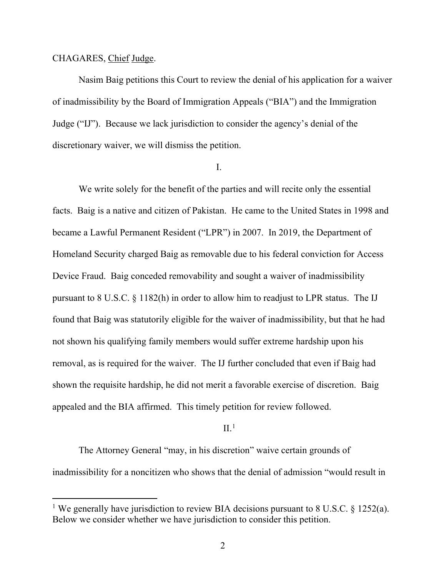#### CHAGARES, Chief Judge.

Nasim Baig petitions this Court to review the denial of his application for a waiver of inadmissibility by the Board of Immigration Appeals ("BIA") and the Immigration Judge ("IJ"). Because we lack jurisdiction to consider the agency's denial of the discretionary waiver, we will dismiss the petition.

#### I.

We write solely for the benefit of the parties and will recite only the essential facts. Baig is a native and citizen of Pakistan. He came to the United States in 1998 and became a Lawful Permanent Resident ("LPR") in 2007. In 2019, the Department of Homeland Security charged Baig as removable due to his federal conviction for Access Device Fraud. Baig conceded removability and sought a waiver of inadmissibility pursuant to 8 U.S.C.  $\S$  1182(h) in order to allow him to readjust to LPR status. The IJ found that Baig was statutorily eligible for the waiver of inadmissibility, but that he had not shown his qualifying family members would suffer extreme hardship upon his removal, as is required for the waiver. The IJ further concluded that even if Baig had shown the requisite hardship, he did not merit a favorable exercise of discretion. Baig appealed and the BIA affirmed. This timely petition for review followed.

## $II.$ <sup>1</sup>

The Attorney General "may, in his discretion" waive certain grounds of inadmissibility for a noncitizen who shows that the denial of admission "would result in

<sup>&</sup>lt;sup>1</sup> We generally have jurisdiction to review BIA decisions pursuant to 8 U.S.C.  $\S$  1252(a). Below we consider whether we have jurisdiction to consider this petition.